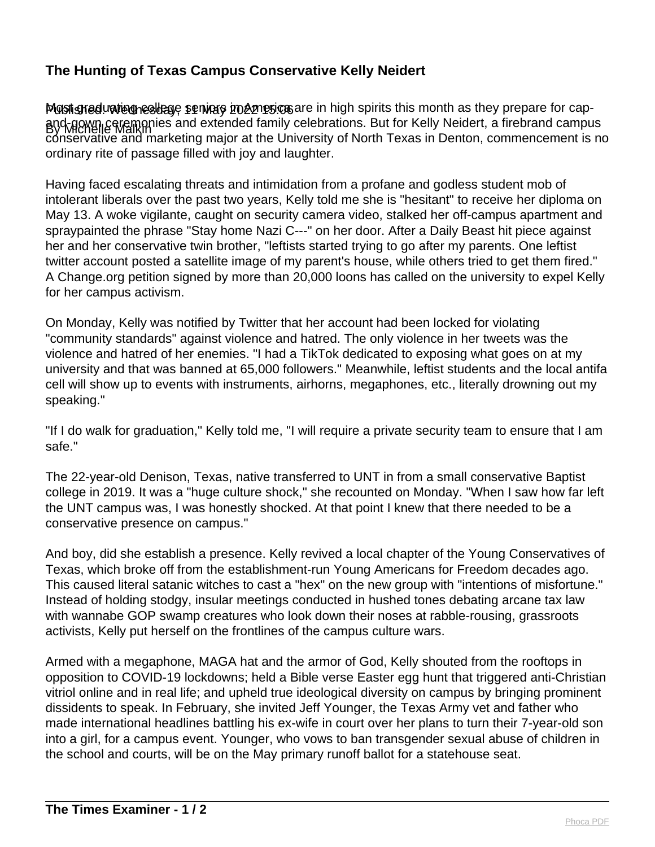## **The Hunting of Texas Campus Conservative Kelly Neidert**

Mastished unties estage senings in America are in high spirits this month as they prepare for cap-By Michelle Malkin and-gown ceremonies and extended family celebrations. But for Kelly Neidert, a firebrand campus conservative and marketing major at the University of North Texas in Denton, commencement is no ordinary rite of passage filled with joy and laughter.

Having faced escalating threats and intimidation from a profane and godless student mob of intolerant liberals over the past two years, Kelly told me she is "hesitant" to receive her diploma on May 13. A woke vigilante, caught on security camera video, stalked her off-campus apartment and spraypainted the phrase "Stay home Nazi C---" on her door. After a Daily Beast hit piece against her and her conservative twin brother, "leftists started trying to go after my parents. One leftist twitter account posted a satellite image of my parent's house, while others tried to get them fired." A Change.org petition signed by more than 20,000 loons has called on the university to expel Kelly for her campus activism.

On Monday, Kelly was notified by Twitter that her account had been locked for violating "community standards" against violence and hatred. The only violence in her tweets was the violence and hatred of her enemies. "I had a TikTok dedicated to exposing what goes on at my university and that was banned at 65,000 followers." Meanwhile, leftist students and the local antifa cell will show up to events with instruments, airhorns, megaphones, etc., literally drowning out my speaking."

"If I do walk for graduation," Kelly told me, "I will require a private security team to ensure that I am safe."

The 22-year-old Denison, Texas, native transferred to UNT in from a small conservative Baptist college in 2019. It was a "huge culture shock," she recounted on Monday. "When I saw how far left the UNT campus was, I was honestly shocked. At that point I knew that there needed to be a conservative presence on campus."

And boy, did she establish a presence. Kelly revived a local chapter of the Young Conservatives of Texas, which broke off from the establishment-run Young Americans for Freedom decades ago. This caused literal satanic witches to cast a "hex" on the new group with "intentions of misfortune." Instead of holding stodgy, insular meetings conducted in hushed tones debating arcane tax law with wannabe GOP swamp creatures who look down their noses at rabble-rousing, grassroots activists, Kelly put herself on the frontlines of the campus culture wars.

Armed with a megaphone, MAGA hat and the armor of God, Kelly shouted from the rooftops in opposition to COVID-19 lockdowns; held a Bible verse Easter egg hunt that triggered anti-Christian vitriol online and in real life; and upheld true ideological diversity on campus by bringing prominent dissidents to speak. In February, she invited Jeff Younger, the Texas Army vet and father who made international headlines battling his ex-wife in court over her plans to turn their 7-year-old son into a girl, for a campus event. Younger, who vows to ban transgender sexual abuse of children in the school and courts, will be on the May primary runoff ballot for a statehouse seat.